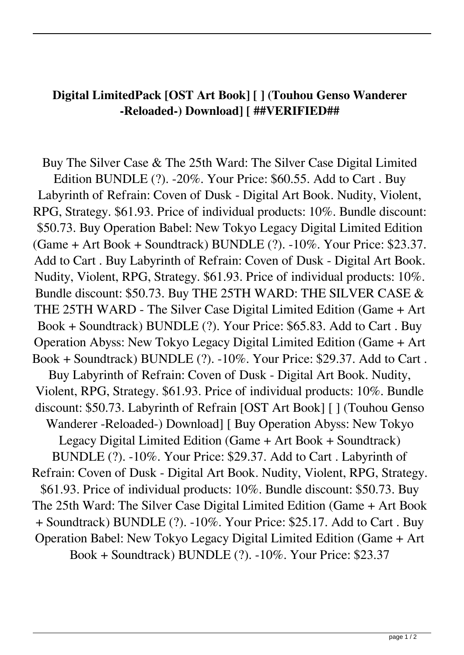## **Digital LimitedPack [OST Art Book] [ ] (Touhou Genso Wanderer -Reloaded-) Download] [ ##VERIFIED##**

Buy The Silver Case & The 25th Ward: The Silver Case Digital Limited Edition BUNDLE (?). -20%. Your Price: \$60.55. Add to Cart . Buy Labyrinth of Refrain: Coven of Dusk - Digital Art Book. Nudity, Violent, RPG, Strategy. \$61.93. Price of individual products: 10%. Bundle discount: \$50.73. Buy Operation Babel: New Tokyo Legacy Digital Limited Edition (Game + Art Book + Soundtrack) BUNDLE (?). -10%. Your Price: \$23.37. Add to Cart . Buy Labyrinth of Refrain: Coven of Dusk - Digital Art Book. Nudity, Violent, RPG, Strategy. \$61.93. Price of individual products: 10%. Bundle discount: \$50.73. Buy THE 25TH WARD: THE SILVER CASE & THE 25TH WARD - The Silver Case Digital Limited Edition (Game + Art Book + Soundtrack) BUNDLE (?). Your Price: \$65.83. Add to Cart . Buy Operation Abyss: New Tokyo Legacy Digital Limited Edition (Game + Art Book + Soundtrack) BUNDLE (?). -10%. Your Price: \$29.37. Add to Cart . Buy Labyrinth of Refrain: Coven of Dusk - Digital Art Book. Nudity, Violent, RPG, Strategy. \$61.93. Price of individual products: 10%. Bundle discount: \$50.73. Labyrinth of Refrain [OST Art Book] [ ] (Touhou Genso Wanderer -Reloaded-) Download] [ Buy Operation Abyss: New Tokyo Legacy Digital Limited Edition (Game + Art Book + Soundtrack) BUNDLE (?). -10%. Your Price: \$29.37. Add to Cart . Labyrinth of Refrain: Coven of Dusk - Digital Art Book. Nudity, Violent, RPG, Strategy. \$61.93. Price of individual products: 10%. Bundle discount: \$50.73. Buy The 25th Ward: The Silver Case Digital Limited Edition (Game + Art Book + Soundtrack) BUNDLE (?). -10%. Your Price: \$25.17. Add to Cart . Buy Operation Babel: New Tokyo Legacy Digital Limited Edition (Game + Art Book + Soundtrack) BUNDLE (?). -10%. Your Price: \$23.37